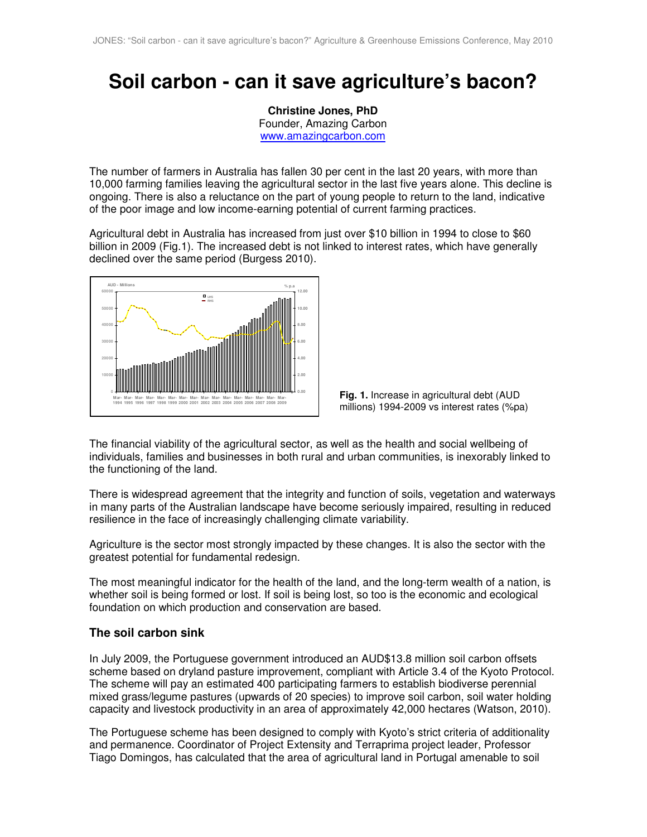# **Soil carbon - can it save agriculture's bacon?**

**Christine Jones, PhD**  Founder, Amazing Carbon www.amazingcarbon.com

The number of farmers in Australia has fallen 30 per cent in the last 20 years, with more than 10,000 farming families leaving the agricultural sector in the last five years alone. This decline is ongoing. There is also a reluctance on the part of young people to return to the land, indicative of the poor image and low income-earning potential of current farming practices.

Agricultural debt in Australia has increased from just over \$10 billion in 1994 to close to \$60 billion in 2009 (Fig.1). The increased debt is not linked to interest rates, which have generally declined over the same period (Burgess 2010).





The financial viability of the agricultural sector, as well as the health and social wellbeing of individuals, families and businesses in both rural and urban communities, is inexorably linked to the functioning of the land.

There is widespread agreement that the integrity and function of soils, vegetation and waterways in many parts of the Australian landscape have become seriously impaired, resulting in reduced resilience in the face of increasingly challenging climate variability.

Agriculture is the sector most strongly impacted by these changes. It is also the sector with the greatest potential for fundamental redesign.

The most meaningful indicator for the health of the land, and the long-term wealth of a nation, is whether soil is being formed or lost. If soil is being lost, so too is the economic and ecological foundation on which production and conservation are based.

# **The soil carbon sink**

In July 2009, the Portuguese government introduced an AUD\$13.8 million soil carbon offsets scheme based on dryland pasture improvement, compliant with Article 3.4 of the Kyoto Protocol. The scheme will pay an estimated 400 participating farmers to establish biodiverse perennial mixed grass/legume pastures (upwards of 20 species) to improve soil carbon, soil water holding capacity and livestock productivity in an area of approximately 42,000 hectares (Watson, 2010).

The Portuguese scheme has been designed to comply with Kyoto's strict criteria of additionality and permanence. Coordinator of Project Extensity and Terraprima project leader, Professor Tiago Domingos, has calculated that the area of agricultural land in Portugal amenable to soil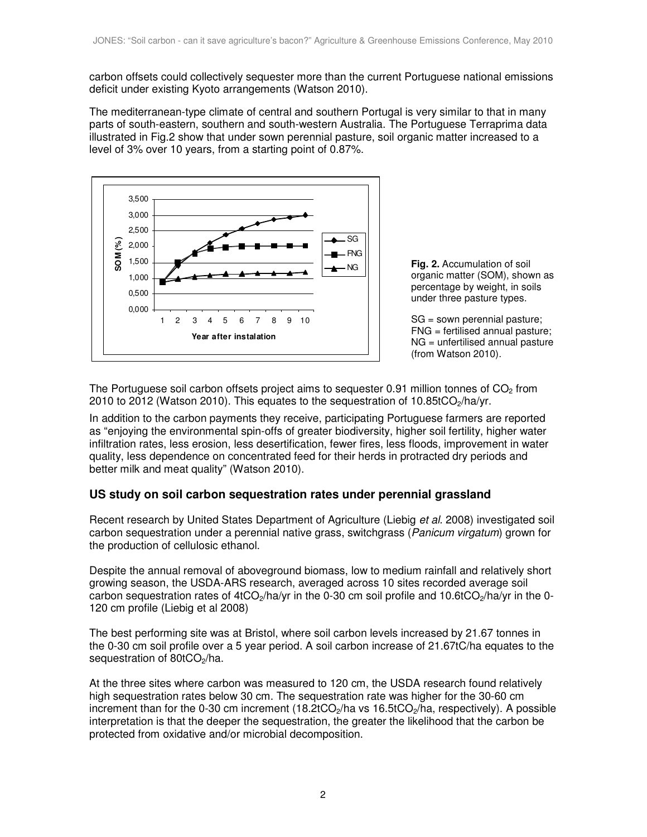carbon offsets could collectively sequester more than the current Portuguese national emissions deficit under existing Kyoto arrangements (Watson 2010).

The mediterranean-type climate of central and southern Portugal is very similar to that in many parts of south-eastern, southern and south-western Australia. The Portuguese Terraprima data illustrated in Fig.2 show that under sown perennial pasture, soil organic matter increased to a level of 3% over 10 years, from a starting point of 0.87%.



**Fig. 2.** Accumulation of soil organic matter (SOM), shown as percentage by weight, in soils under three pasture types.

SG = sown perennial pasture; FNG = fertilised annual pasture; NG = unfertilised annual pasture (from Watson 2010).

The Portuguese soil carbon offsets project aims to sequester 0.91 million tonnes of  $CO<sub>2</sub>$  from 2010 to 2012 (Watson 2010). This equates to the sequestration of 10.85tCO<sub>2</sub>/ha/yr.

In addition to the carbon payments they receive, participating Portuguese farmers are reported as "enjoying the environmental spin-offs of greater biodiversity, higher soil fertility, higher water infiltration rates, less erosion, less desertification, fewer fires, less floods, improvement in water quality, less dependence on concentrated feed for their herds in protracted dry periods and better milk and meat quality" (Watson 2010).

# **US study on soil carbon sequestration rates under perennial grassland**

Recent research by United States Department of Agriculture (Liebig et al. 2008) investigated soil carbon sequestration under a perennial native grass, switchgrass (*Panicum virgatum*) grown for the production of cellulosic ethanol.

Despite the annual removal of aboveground biomass, low to medium rainfall and relatively short growing season, the USDA-ARS research, averaged across 10 sites recorded average soil carbon sequestration rates of 4tCO<sub>2</sub>/ha/yr in the 0-30 cm soil profile and 10.6tCO<sub>2</sub>/ha/yr in the 0-120 cm profile (Liebig et al 2008)

The best performing site was at Bristol, where soil carbon levels increased by 21.67 tonnes in the 0-30 cm soil profile over a 5 year period. A soil carbon increase of 21.67tC/ha equates to the sequestration of 80tCO<sub>2</sub>/ha.

At the three sites where carbon was measured to 120 cm, the USDA research found relatively high sequestration rates below 30 cm. The sequestration rate was higher for the 30-60 cm increment than for the 0-30 cm increment  $(18.2tCO<sub>2</sub>/ha$  vs  $16.5tCO<sub>2</sub>/ha$ , respectively). A possible interpretation is that the deeper the sequestration, the greater the likelihood that the carbon be protected from oxidative and/or microbial decomposition.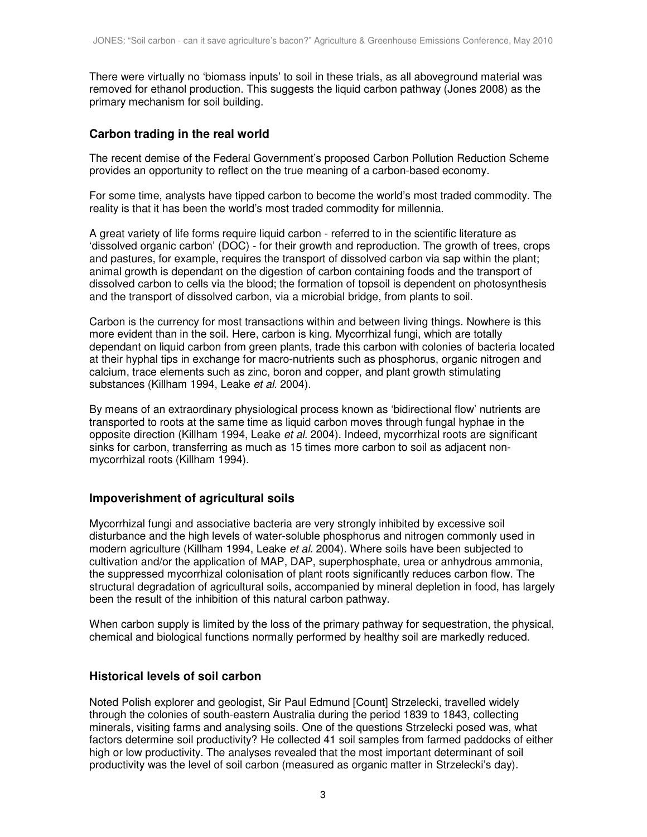There were virtually no 'biomass inputs' to soil in these trials, as all aboveground material was removed for ethanol production. This suggests the liquid carbon pathway (Jones 2008) as the primary mechanism for soil building.

# **Carbon trading in the real world**

The recent demise of the Federal Government's proposed Carbon Pollution Reduction Scheme provides an opportunity to reflect on the true meaning of a carbon-based economy.

For some time, analysts have tipped carbon to become the world's most traded commodity. The reality is that it has been the world's most traded commodity for millennia.

A great variety of life forms require liquid carbon - referred to in the scientific literature as 'dissolved organic carbon' (DOC) - for their growth and reproduction. The growth of trees, crops and pastures, for example, requires the transport of dissolved carbon via sap within the plant; animal growth is dependant on the digestion of carbon containing foods and the transport of dissolved carbon to cells via the blood; the formation of topsoil is dependent on photosynthesis and the transport of dissolved carbon, via a microbial bridge, from plants to soil.

Carbon is the currency for most transactions within and between living things. Nowhere is this more evident than in the soil. Here, carbon is king. Mycorrhizal fungi, which are totally dependant on liquid carbon from green plants, trade this carbon with colonies of bacteria located at their hyphal tips in exchange for macro-nutrients such as phosphorus, organic nitrogen and calcium, trace elements such as zinc, boron and copper, and plant growth stimulating substances (Killham 1994, Leake et al. 2004).

By means of an extraordinary physiological process known as 'bidirectional flow' nutrients are transported to roots at the same time as liquid carbon moves through fungal hyphae in the opposite direction (Killham 1994, Leake et al. 2004). Indeed, mycorrhizal roots are significant sinks for carbon, transferring as much as 15 times more carbon to soil as adjacent nonmycorrhizal roots (Killham 1994).

# **Impoverishment of agricultural soils**

Mycorrhizal fungi and associative bacteria are very strongly inhibited by excessive soil disturbance and the high levels of water-soluble phosphorus and nitrogen commonly used in modern agriculture (Killham 1994, Leake et al. 2004). Where soils have been subjected to cultivation and/or the application of MAP, DAP, superphosphate, urea or anhydrous ammonia, the suppressed mycorrhizal colonisation of plant roots significantly reduces carbon flow. The structural degradation of agricultural soils, accompanied by mineral depletion in food, has largely been the result of the inhibition of this natural carbon pathway.

When carbon supply is limited by the loss of the primary pathway for sequestration, the physical, chemical and biological functions normally performed by healthy soil are markedly reduced.

# **Historical levels of soil carbon**

Noted Polish explorer and geologist, Sir Paul Edmund [Count] Strzelecki, travelled widely through the colonies of south-eastern Australia during the period 1839 to 1843, collecting minerals, visiting farms and analysing soils. One of the questions Strzelecki posed was, what factors determine soil productivity? He collected 41 soil samples from farmed paddocks of either high or low productivity. The analyses revealed that the most important determinant of soil productivity was the level of soil carbon (measured as organic matter in Strzelecki's day).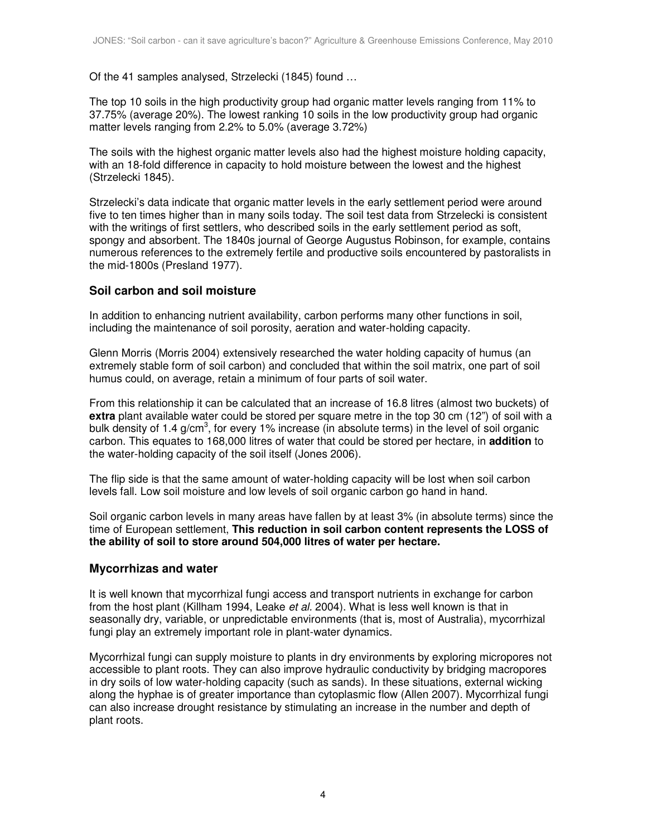Of the 41 samples analysed, Strzelecki (1845) found …

The top 10 soils in the high productivity group had organic matter levels ranging from 11% to 37.75% (average 20%). The lowest ranking 10 soils in the low productivity group had organic matter levels ranging from 2.2% to 5.0% (average 3.72%)

The soils with the highest organic matter levels also had the highest moisture holding capacity, with an 18-fold difference in capacity to hold moisture between the lowest and the highest (Strzelecki 1845).

Strzelecki's data indicate that organic matter levels in the early settlement period were around five to ten times higher than in many soils today. The soil test data from Strzelecki is consistent with the writings of first settlers, who described soils in the early settlement period as soft. spongy and absorbent. The 1840s journal of George Augustus Robinson, for example, contains numerous references to the extremely fertile and productive soils encountered by pastoralists in the mid-1800s (Presland 1977).

# **Soil carbon and soil moisture**

In addition to enhancing nutrient availability, carbon performs many other functions in soil, including the maintenance of soil porosity, aeration and water-holding capacity.

Glenn Morris (Morris 2004) extensively researched the water holding capacity of humus (an extremely stable form of soil carbon) and concluded that within the soil matrix, one part of soil humus could, on average, retain a minimum of four parts of soil water.

From this relationship it can be calculated that an increase of 16.8 litres (almost two buckets) of **extra** plant available water could be stored per square metre in the top 30 cm (12") of soil with a bulk density of 1.4 g/cm<sup>3</sup>, for every 1% increase (in absolute terms) in the level of soil organic carbon. This equates to 168,000 litres of water that could be stored per hectare, in **addition** to the water-holding capacity of the soil itself (Jones 2006).

The flip side is that the same amount of water-holding capacity will be lost when soil carbon levels fall. Low soil moisture and low levels of soil organic carbon go hand in hand.

Soil organic carbon levels in many areas have fallen by at least 3% (in absolute terms) since the time of European settlement, **This reduction in soil carbon content represents the LOSS of the ability of soil to store around 504,000 litres of water per hectare.** 

# **Mycorrhizas and water**

It is well known that mycorrhizal fungi access and transport nutrients in exchange for carbon from the host plant (Killham 1994, Leake et al. 2004). What is less well known is that in seasonally dry, variable, or unpredictable environments (that is, most of Australia), mycorrhizal fungi play an extremely important role in plant-water dynamics.

Mycorrhizal fungi can supply moisture to plants in dry environments by exploring micropores not accessible to plant roots. They can also improve hydraulic conductivity by bridging macropores in dry soils of low water-holding capacity (such as sands). In these situations, external wicking along the hyphae is of greater importance than cytoplasmic flow (Allen 2007). Mycorrhizal fungi can also increase drought resistance by stimulating an increase in the number and depth of plant roots.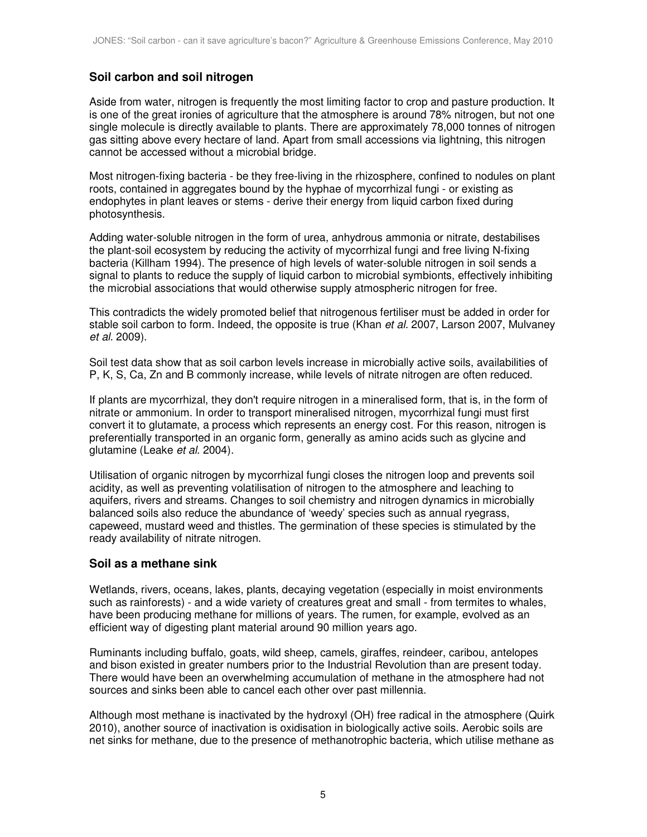# **Soil carbon and soil nitrogen**

Aside from water, nitrogen is frequently the most limiting factor to crop and pasture production. It is one of the great ironies of agriculture that the atmosphere is around 78% nitrogen, but not one single molecule is directly available to plants. There are approximately 78,000 tonnes of nitrogen gas sitting above every hectare of land. Apart from small accessions via lightning, this nitrogen cannot be accessed without a microbial bridge.

Most nitrogen-fixing bacteria - be they free-living in the rhizosphere, confined to nodules on plant roots, contained in aggregates bound by the hyphae of mycorrhizal fungi - or existing as endophytes in plant leaves or stems - derive their energy from liquid carbon fixed during photosynthesis.

Adding water-soluble nitrogen in the form of urea, anhydrous ammonia or nitrate, destabilises the plant-soil ecosystem by reducing the activity of mycorrhizal fungi and free living N-fixing bacteria (Killham 1994). The presence of high levels of water-soluble nitrogen in soil sends a signal to plants to reduce the supply of liquid carbon to microbial symbionts, effectively inhibiting the microbial associations that would otherwise supply atmospheric nitrogen for free.

This contradicts the widely promoted belief that nitrogenous fertiliser must be added in order for stable soil carbon to form. Indeed, the opposite is true (Khan et al. 2007, Larson 2007, Mulvaney et al. 2009).

Soil test data show that as soil carbon levels increase in microbially active soils, availabilities of P, K, S, Ca, Zn and B commonly increase, while levels of nitrate nitrogen are often reduced.

If plants are mycorrhizal, they don't require nitrogen in a mineralised form, that is, in the form of nitrate or ammonium. In order to transport mineralised nitrogen, mycorrhizal fungi must first convert it to glutamate, a process which represents an energy cost. For this reason, nitrogen is preferentially transported in an organic form, generally as amino acids such as glycine and glutamine (Leake et al. 2004).

Utilisation of organic nitrogen by mycorrhizal fungi closes the nitrogen loop and prevents soil acidity, as well as preventing volatilisation of nitrogen to the atmosphere and leaching to aquifers, rivers and streams. Changes to soil chemistry and nitrogen dynamics in microbially balanced soils also reduce the abundance of 'weedy' species such as annual ryegrass, capeweed, mustard weed and thistles. The germination of these species is stimulated by the ready availability of nitrate nitrogen.

# **Soil as a methane sink**

Wetlands, rivers, oceans, lakes, plants, decaying vegetation (especially in moist environments such as rainforests) - and a wide variety of creatures great and small - from termites to whales, have been producing methane for millions of years. The rumen, for example, evolved as an efficient way of digesting plant material around 90 million years ago.

Ruminants including buffalo, goats, wild sheep, camels, giraffes, reindeer, caribou, antelopes and bison existed in greater numbers prior to the Industrial Revolution than are present today. There would have been an overwhelming accumulation of methane in the atmosphere had not sources and sinks been able to cancel each other over past millennia.

Although most methane is inactivated by the hydroxyl (OH) free radical in the atmosphere (Quirk 2010), another source of inactivation is oxidisation in biologically active soils. Aerobic soils are net sinks for methane, due to the presence of methanotrophic bacteria, which utilise methane as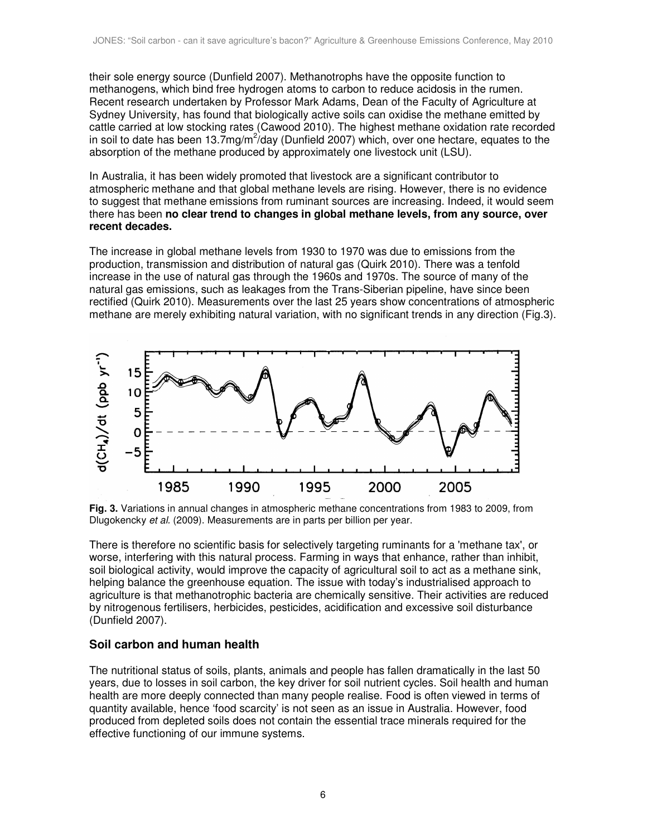their sole energy source (Dunfield 2007). Methanotrophs have the opposite function to methanogens, which bind free hydrogen atoms to carbon to reduce acidosis in the rumen. Recent research undertaken by Professor Mark Adams, Dean of the Faculty of Agriculture at Sydney University, has found that biologically active soils can oxidise the methane emitted by cattle carried at low stocking rates (Cawood 2010). The highest methane oxidation rate recorded in soil to date has been 13.7mg/m<sup>2</sup>/day (Dunfield 2007) which, over one hectare, equates to the absorption of the methane produced by approximately one livestock unit (LSU).

In Australia, it has been widely promoted that livestock are a significant contributor to atmospheric methane and that global methane levels are rising. However, there is no evidence to suggest that methane emissions from ruminant sources are increasing. Indeed, it would seem there has been **no clear trend to changes in global methane levels, from any source, over recent decades.** 

The increase in global methane levels from 1930 to 1970 was due to emissions from the production, transmission and distribution of natural gas (Quirk 2010). There was a tenfold increase in the use of natural gas through the 1960s and 1970s. The source of many of the natural gas emissions, such as leakages from the Trans-Siberian pipeline, have since been rectified (Quirk 2010). Measurements over the last 25 years show concentrations of atmospheric methane are merely exhibiting natural variation, with no significant trends in any direction (Fig.3).



**Fig. 3.** Variations in annual changes in atmospheric methane concentrations from 1983 to 2009, from Dlugokencky et al. (2009). Measurements are in parts per billion per year.

There is therefore no scientific basis for selectively targeting ruminants for a 'methane tax', or worse, interfering with this natural process. Farming in ways that enhance, rather than inhibit, soil biological activity, would improve the capacity of agricultural soil to act as a methane sink, helping balance the greenhouse equation. The issue with today's industrialised approach to agriculture is that methanotrophic bacteria are chemically sensitive. Their activities are reduced by nitrogenous fertilisers, herbicides, pesticides, acidification and excessive soil disturbance (Dunfield 2007).

# **Soil carbon and human health**

The nutritional status of soils, plants, animals and people has fallen dramatically in the last 50 years, due to losses in soil carbon, the key driver for soil nutrient cycles. Soil health and human health are more deeply connected than many people realise. Food is often viewed in terms of quantity available, hence 'food scarcity' is not seen as an issue in Australia. However, food produced from depleted soils does not contain the essential trace minerals required for the effective functioning of our immune systems.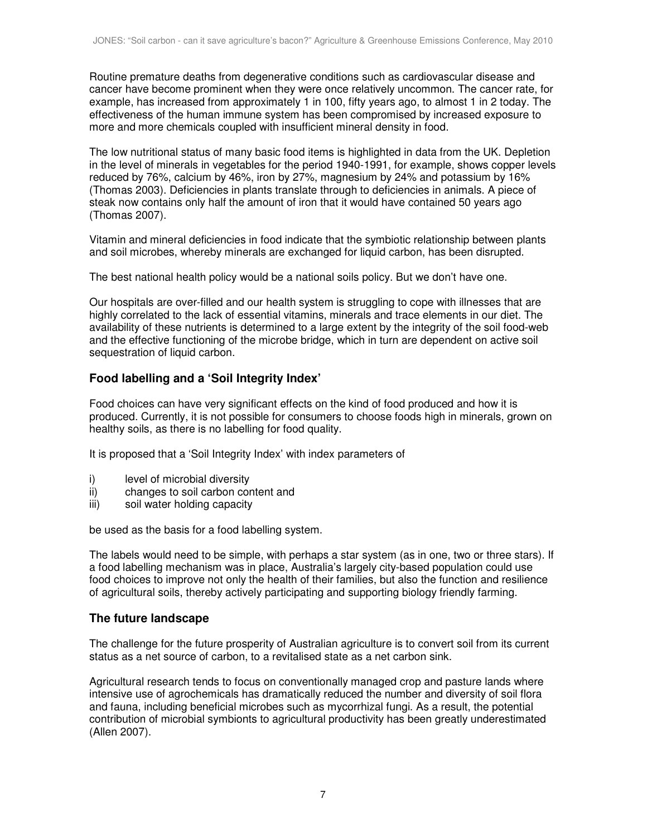Routine premature deaths from degenerative conditions such as cardiovascular disease and cancer have become prominent when they were once relatively uncommon. The cancer rate, for example, has increased from approximately 1 in 100, fifty years ago, to almost 1 in 2 today. The effectiveness of the human immune system has been compromised by increased exposure to more and more chemicals coupled with insufficient mineral density in food.

The low nutritional status of many basic food items is highlighted in data from the UK. Depletion in the level of minerals in vegetables for the period 1940-1991, for example, shows copper levels reduced by 76%, calcium by 46%, iron by 27%, magnesium by 24% and potassium by 16% (Thomas 2003). Deficiencies in plants translate through to deficiencies in animals. A piece of steak now contains only half the amount of iron that it would have contained 50 years ago (Thomas 2007).

Vitamin and mineral deficiencies in food indicate that the symbiotic relationship between plants and soil microbes, whereby minerals are exchanged for liquid carbon, has been disrupted.

The best national health policy would be a national soils policy. But we don't have one.

Our hospitals are over-filled and our health system is struggling to cope with illnesses that are highly correlated to the lack of essential vitamins, minerals and trace elements in our diet. The availability of these nutrients is determined to a large extent by the integrity of the soil food-web and the effective functioning of the microbe bridge, which in turn are dependent on active soil sequestration of liquid carbon.

# **Food labelling and a 'Soil Integrity Index'**

Food choices can have very significant effects on the kind of food produced and how it is produced. Currently, it is not possible for consumers to choose foods high in minerals, grown on healthy soils, as there is no labelling for food quality.

It is proposed that a 'Soil Integrity Index' with index parameters of

- i) level of microbial diversity
- ii) changes to soil carbon content and
- iii) soil water holding capacity

be used as the basis for a food labelling system.

The labels would need to be simple, with perhaps a star system (as in one, two or three stars). If a food labelling mechanism was in place, Australia's largely city-based population could use food choices to improve not only the health of their families, but also the function and resilience of agricultural soils, thereby actively participating and supporting biology friendly farming.

#### **The future landscape**

The challenge for the future prosperity of Australian agriculture is to convert soil from its current status as a net source of carbon, to a revitalised state as a net carbon sink.

Agricultural research tends to focus on conventionally managed crop and pasture lands where intensive use of agrochemicals has dramatically reduced the number and diversity of soil flora and fauna, including beneficial microbes such as mycorrhizal fungi. As a result, the potential contribution of microbial symbionts to agricultural productivity has been greatly underestimated (Allen 2007).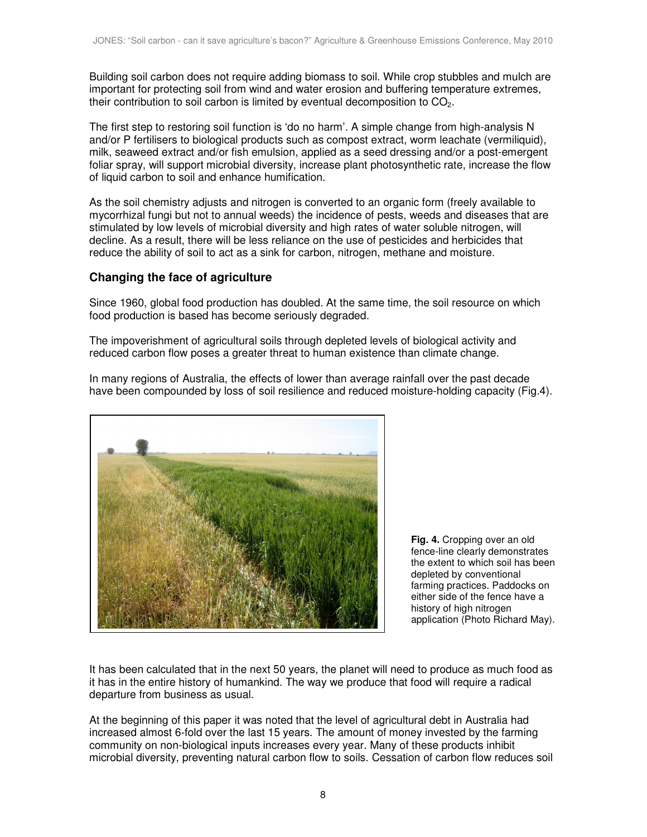Building soil carbon does not require adding biomass to soil. While crop stubbles and mulch are important for protecting soil from wind and water erosion and buffering temperature extremes, their contribution to soil carbon is limited by eventual decomposition to  $CO<sub>2</sub>$ .

The first step to restoring soil function is 'do no harm'. A simple change from high-analysis N and/or P fertilisers to biological products such as compost extract, worm leachate (vermiliquid), milk, seaweed extract and/or fish emulsion, applied as a seed dressing and/or a post-emergent foliar spray, will support microbial diversity, increase plant photosynthetic rate, increase the flow of liquid carbon to soil and enhance humification.

As the soil chemistry adjusts and nitrogen is converted to an organic form (freely available to mycorrhizal fungi but not to annual weeds) the incidence of pests, weeds and diseases that are stimulated by low levels of microbial diversity and high rates of water soluble nitrogen, will decline. As a result, there will be less reliance on the use of pesticides and herbicides that reduce the ability of soil to act as a sink for carbon, nitrogen, methane and moisture.

# **Changing the face of agriculture**

Since 1960, global food production has doubled. At the same time, the soil resource on which food production is based has become seriously degraded.

The impoverishment of agricultural soils through depleted levels of biological activity and reduced carbon flow poses a greater threat to human existence than climate change.



In many regions of Australia, the effects of lower than average rainfall over the past decade have been compounded by loss of soil resilience and reduced moisture-holding capacity (Fig.4).

> **Fig. 4.** Cropping over an old fence-line clearly demonstrates the extent to which soil has been depleted by conventional farming practices. Paddocks on either side of the fence have a history of high nitrogen application (Photo Richard May).

It has been calculated that in the next 50 years, the planet will need to produce as much food as it has in the entire history of humankind. The way we produce that food will require a radical departure from business as usual.

At the beginning of this paper it was noted that the level of agricultural debt in Australia had increased almost 6-fold over the last 15 years. The amount of money invested by the farming community on non-biological inputs increases every year. Many of these products inhibit microbial diversity, preventing natural carbon flow to soils. Cessation of carbon flow reduces soil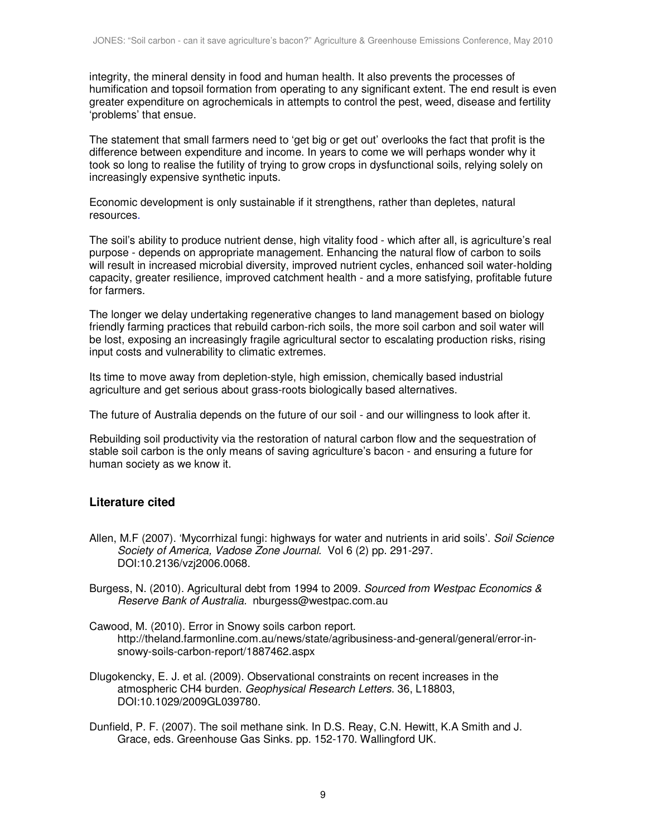integrity, the mineral density in food and human health. It also prevents the processes of humification and topsoil formation from operating to any significant extent. The end result is even greater expenditure on agrochemicals in attempts to control the pest, weed, disease and fertility 'problems' that ensue.

The statement that small farmers need to 'get big or get out' overlooks the fact that profit is the difference between expenditure and income. In years to come we will perhaps wonder why it took so long to realise the futility of trying to grow crops in dysfunctional soils, relying solely on increasingly expensive synthetic inputs.

Economic development is only sustainable if it strengthens, rather than depletes, natural resources.

The soil's ability to produce nutrient dense, high vitality food - which after all, is agriculture's real purpose - depends on appropriate management. Enhancing the natural flow of carbon to soils will result in increased microbial diversity, improved nutrient cycles, enhanced soil water-holding capacity, greater resilience, improved catchment health - and a more satisfying, profitable future for farmers.

The longer we delay undertaking regenerative changes to land management based on biology friendly farming practices that rebuild carbon-rich soils, the more soil carbon and soil water will be lost, exposing an increasingly fragile agricultural sector to escalating production risks, rising input costs and vulnerability to climatic extremes.

Its time to move away from depletion-style, high emission, chemically based industrial agriculture and get serious about grass-roots biologically based alternatives.

The future of Australia depends on the future of our soil - and our willingness to look after it.

Rebuilding soil productivity via the restoration of natural carbon flow and the sequestration of stable soil carbon is the only means of saving agriculture's bacon - and ensuring a future for human society as we know it.

# **Literature cited**

- Allen, M.F (2007). 'Mycorrhizal fungi: highways for water and nutrients in arid soils'. Soil Science Society of America, Vadose Zone Journal. Vol 6 (2) pp. 291-297. DOI:10.2136/vzj2006.0068.
- Burgess, N. (2010). Agricultural debt from 1994 to 2009. Sourced from Westpac Economics & Reserve Bank of Australia. nburgess@westpac.com.au
- Cawood, M. (2010). Error in Snowy soils carbon report. http://theland.farmonline.com.au/news/state/agribusiness-and-general/general/error-insnowy-soils-carbon-report/1887462.aspx
- Dlugokencky, E. J. et al. (2009). Observational constraints on recent increases in the atmospheric CH4 burden. Geophysical Research Letters. 36, L18803, DOI:10.1029/2009GL039780.
- Dunfield, P. F. (2007). The soil methane sink. In D.S. Reay, C.N. Hewitt, K.A Smith and J. Grace, eds. Greenhouse Gas Sinks. pp. 152-170. Wallingford UK.